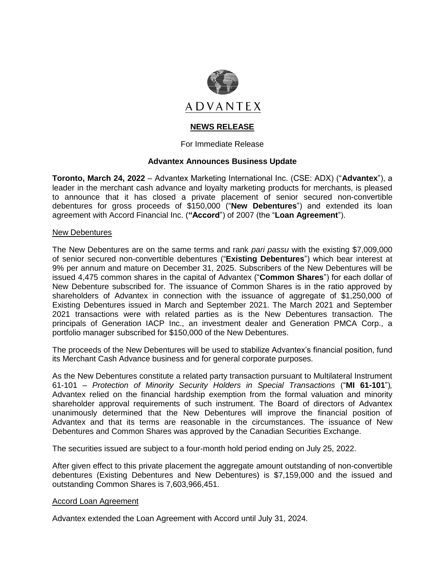

# **NEWS RELEASE**

For Immediate Release

## **Advantex Announces Business Update**

**Toronto, March 24, 2022** – Advantex Marketing International Inc. (CSE: ADX) ("**Advantex**"), a leader in the merchant cash advance and loyalty marketing products for merchants, is pleased to announce that it has closed a private placement of senior secured non-convertible debentures for gross proceeds of \$150,000 ("**New Debentures**") and extended its loan agreement with Accord Financial Inc. (**"Accord**") of 2007 (the "**Loan Agreement**").

### New Debentures

The New Debentures are on the same terms and rank *pari passu* with the existing \$7,009,000 of senior secured non-convertible debentures ("**Existing Debentures**") which bear interest at 9% per annum and mature on December 31, 2025. Subscribers of the New Debentures will be issued 4,475 common shares in the capital of Advantex ("**Common Shares**") for each dollar of New Debenture subscribed for. The issuance of Common Shares is in the ratio approved by shareholders of Advantex in connection with the issuance of aggregate of \$1,250,000 of Existing Debentures issued in March and September 2021. The March 2021 and September 2021 transactions were with related parties as is the New Debentures transaction. The principals of Generation IACP Inc., an investment dealer and Generation PMCA Corp., a portfolio manager subscribed for \$150,000 of the New Debentures.

The proceeds of the New Debentures will be used to stabilize Advantex's financial position, fund its Merchant Cash Advance business and for general corporate purposes.

As the New Debentures constitute a related party transaction pursuant to Multilateral Instrument 61-101 – *Protection of Minority Security Holders in Special Transactions* ("**MI 61-101**")*,*  Advantex relied on the financial hardship exemption from the formal valuation and minority shareholder approval requirements of such instrument. The Board of directors of Advantex unanimously determined that the New Debentures will improve the financial position of Advantex and that its terms are reasonable in the circumstances. The issuance of New Debentures and Common Shares was approved by the Canadian Securities Exchange.

The securities issued are subject to a four-month hold period ending on July 25, 2022.

After given effect to this private placement the aggregate amount outstanding of non-convertible debentures (Existing Debentures and New Debentures) is \$7,159,000 and the issued and outstanding Common Shares is 7,603,966,451.

#### Accord Loan Agreement

Advantex extended the Loan Agreement with Accord until July 31, 2024.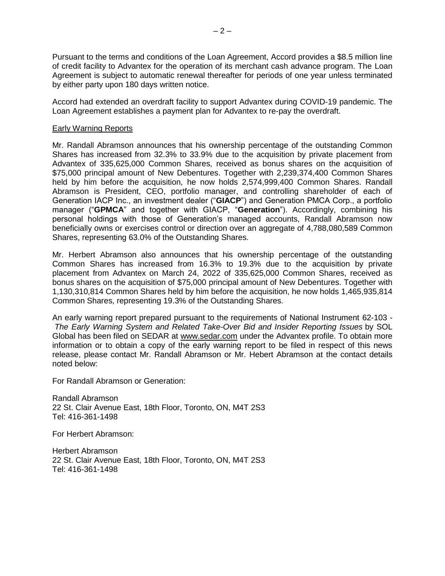Pursuant to the terms and conditions of the Loan Agreement, Accord provides a \$8.5 million line of credit facility to Advantex for the operation of its merchant cash advance program. The Loan Agreement is subject to automatic renewal thereafter for periods of one year unless terminated by either party upon 180 days written notice.

Accord had extended an overdraft facility to support Advantex during COVID-19 pandemic. The Loan Agreement establishes a payment plan for Advantex to re-pay the overdraft.

### Early Warning Reports

Mr. Randall Abramson announces that his ownership percentage of the outstanding Common Shares has increased from 32.3% to 33.9% due to the acquisition by private placement from Advantex of 335,625,000 Common Shares, received as bonus shares on the acquisition of \$75,000 principal amount of New Debentures. Together with 2,239,374,400 Common Shares held by him before the acquisition, he now holds 2,574,999,400 Common Shares. Randall Abramson is President, CEO, portfolio manager, and controlling shareholder of each of Generation IACP Inc., an investment dealer ("**GIACP**") and Generation PMCA Corp., a portfolio manager ("**GPMCA**" and together with GIACP, "**Generation**"). Accordingly, combining his personal holdings with those of Generation's managed accounts, Randall Abramson now beneficially owns or exercises control or direction over an aggregate of 4,788,080,589 Common Shares, representing 63.0% of the Outstanding Shares.

Mr. Herbert Abramson also announces that his ownership percentage of the outstanding Common Shares has increased from 16.3% to 19.3% due to the acquisition by private placement from Advantex on March 24, 2022 of 335,625,000 Common Shares, received as bonus shares on the acquisition of \$75,000 principal amount of New Debentures. Together with 1,130,310,814 Common Shares held by him before the acquisition, he now holds 1,465,935,814 Common Shares, representing 19.3% of the Outstanding Shares.

An early warning report prepared pursuant to the requirements of National Instrument 62-103 - *The Early Warning System and Related Take-Over Bid and Insider Reporting Issues* by SOL Global has been filed on SEDAR at [www.sedar.com](https://cts.businesswire.com/ct/CT?id=smartlink&url=http%3A%2F%2Fwww.sedar.com&esheet=52592958&newsitemid=20220309006042&lan=en-US&anchor=www.sedar.com&index=1&md5=a6e2bca4bc017923cf00121c221e7069) under the Advantex profile. To obtain more information or to obtain a copy of the early warning report to be filed in respect of this news release, please contact Mr. Randall Abramson or Mr. Hebert Abramson at the contact details noted below:

For Randall Abramson or Generation:

Randall Abramson 22 St. Clair Avenue East, 18th Floor, Toronto, ON, M4T 2S3 Tel: 416-361-1498

For Herbert Abramson:

Herbert Abramson 22 St. Clair Avenue East, 18th Floor, Toronto, ON, M4T 2S3 Tel: 416-361-1498